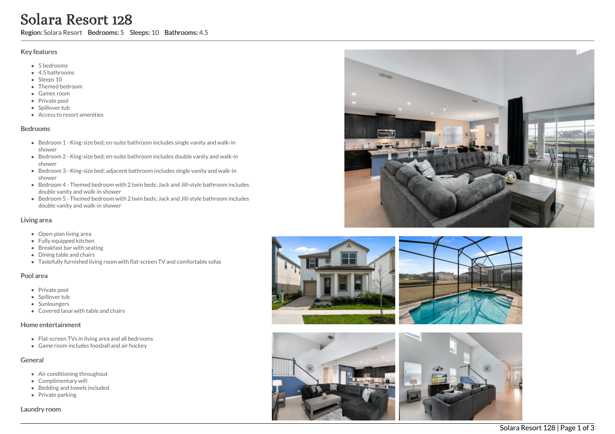# Solara Resort 128

Region: Solara Resort Bedrooms: 5 Sleeps: 10 Bathrooms: 4.5

#### Key features

- 5 b e d r o o m s
- 4.5 b a t h r o o m s
- Sleeps 10
- Themed bedroom
- G a m e s r o o m
- Private pool
- Spillover tub
- Access to resort amenities

#### **Bedrooms**

- Bedroom 1 King-size bed; en-suite bathroom includes single vanity and walk-in s h o w e r
- Bedroom 2 King-size bed; en-suite bathroom includes double vanity and walk-in s h o w e r
- Bedroom 3 King-size bed; adjacent bathroom includes single vanity and walk-in s h o w e r
- Bedroom 4 Themed bedroom with 2 twin beds; Jack and Jill-style bathroom includes double vanity and walk-in shower
- Bedroom 5 Themed bedroom with 2 twin beds; Jack and Jill-style bathroom includes double vanity and walk-in shower

#### Living area

- Open-plan living area
- Fully equipped kitchen
- Breakfast bar with seating
- Dining table and chairs
- Tastefully furnished living room with flat-screen TV and comfortable sofas

#### Pool area

- Private pool
- Spillover tub
- Sunloungers
- Covered lanai with table and chairs

#### Home entertainment

- Flat-screen TVs in living area and all bedrooms
- Game room includes foosball and air hockey

# General

- Air conditioning throughout
- Complimentary wifi
- Bedding and towels in clu d e d
- Private parking

Laundry room









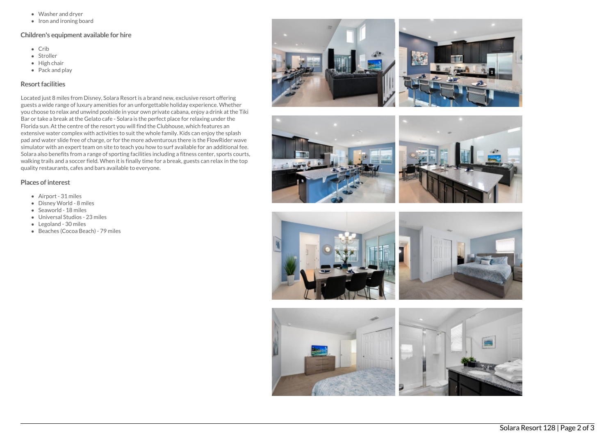- Washer and dryer
- Iron and ironing board

# Children's equipment available for hire

- Crib
- Stroller
- $\bullet$  High chair
- Pack and play

### Resort facilities

Located just 8 miles from Disney, Solara Resort is a brand new, exclusive resort offering guests a wide range of luxury amenities for an unforgettable holiday experience. Whether you choose to relax and unwind poolside in your own private cabana, enjoy a drink at the Tiki Bar or take a break at the Gelato cafe - Solara is the perfect place for relaxing under the Florida sun. At the centre of the resort you will find the Clubhouse, which features an extensive water complex with activities to suit the whole family. Kids can enjoy the splash pad and water slide free of charge, or for the more adventurous there is the FlowRider wave simulator with an expert team on site to teach you how to surf available for an additional fee. Solara also benefits from a range of sporting facilities including a fitness center, sports courts, walking trails and a soccer field. When it is finally time for a break, guests can relax in the top quality restaurants, cafes and bars available to everyone.

# Places of interest

- Airport 31 miles
- Disney World 8 miles
- Seaworld 18 miles
- Universal Studios 23 miles
- Legoland 30 miles
- Beaches (Cocoa Beach) 79 miles